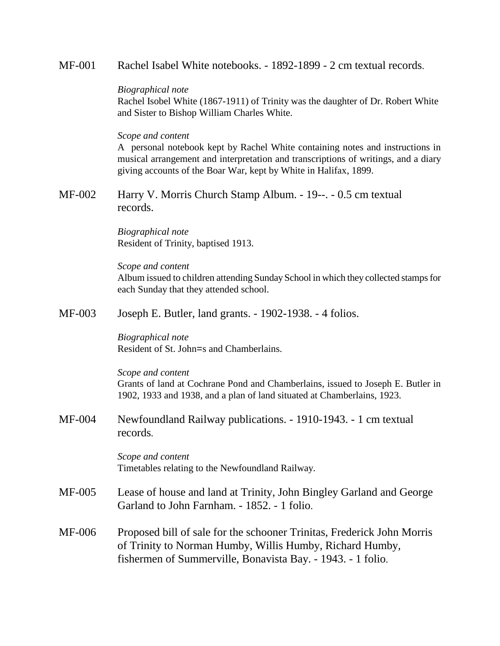MF-001 Rachel Isabel White notebooks. - 1892-1899 - 2 cm textual records.

## *Biographical note*

Rachel Isobel White (1867-1911) of Trinity was the daughter of Dr. Robert White and Sister to Bishop William Charles White.

## *Scope and content*

A personal notebook kept by Rachel White containing notes and instructions in musical arrangement and interpretation and transcriptions of writings, and a diary giving accounts of the Boar War, kept by White in Halifax, 1899.

MF-002 Harry V. Morris Church Stamp Album. - 19--. - 0.5 cm textual records.

> *Biographical note* Resident of Trinity, baptised 1913.

*Scope and content* Album issued to children attending Sunday School in which they collected stamps for each Sunday that they attended school.

MF-003 Joseph E. Butler, land grants. - 1902-1938. - 4 folios.

*Biographical note* Resident of St. John=s and Chamberlains.

*Scope and content* Grants of land at Cochrane Pond and Chamberlains, issued to Joseph E. Butler in 1902, 1933 and 1938, and a plan of land situated at Chamberlains, 1923.

MF-004 Newfoundland Railway publications. - 1910-1943. - 1 cm textual records.

> *Scope and content* Timetables relating to the Newfoundland Railway.

- MF-005 Lease of house and land at Trinity, John Bingley Garland and George Garland to John Farnham. - 1852. - 1 folio.
- MF-006 Proposed bill of sale for the schooner Trinitas, Frederick John Morris of Trinity to Norman Humby, Willis Humby, Richard Humby, fishermen of Summerville, Bonavista Bay. - 1943. - 1 folio.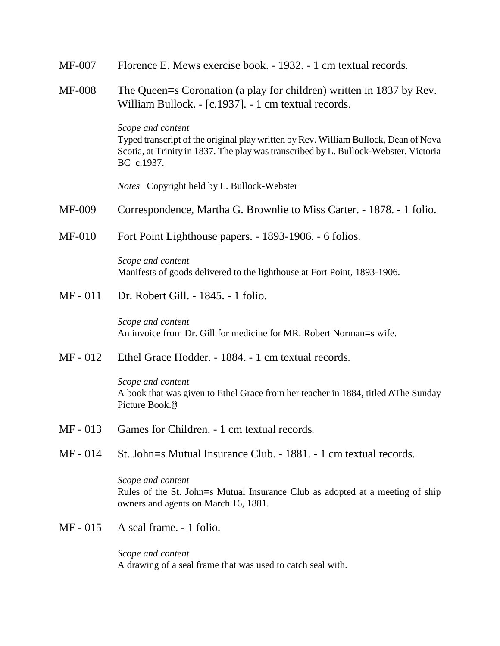| MF-007<br>Florence E. Mews exercise book. - 1932. - 1 cm textual records. |
|---------------------------------------------------------------------------|
|---------------------------------------------------------------------------|

MF-008 The Queen=s Coronation (a play for children) written in 1837 by Rev. William Bullock. - [c.1937]. - 1 cm textual records.

> *Scope and content* Typed transcript of the original play written by Rev. William Bullock, Dean of Nova Scotia, at Trinity in 1837. The play was transcribed by L. Bullock-Webster, Victoria BC c.1937.

*Notes* Copyright held by L. Bullock-Webster

- MF-009 Correspondence, Martha G. Brownlie to Miss Carter. 1878. 1 folio.
- MF-010 Fort Point Lighthouse papers. 1893-1906. 6 folios.

*Scope and content* Manifests of goods delivered to the lighthouse at Fort Point, 1893-1906.

MF - 011 Dr. Robert Gill. - 1845. - 1 folio.

*Scope and content* An invoice from Dr. Gill for medicine for MR. Robert Norman=s wife.

MF - 012 Ethel Grace Hodder. - 1884. - 1 cm textual records.

*Scope and content* A book that was given to Ethel Grace from her teacher in 1884, titled AThe Sunday Picture Book.@

- MF 013 Games for Children. 1 cm textual records*.*
- MF 014 St. John=s Mutual Insurance Club. 1881. 1 cm textual records.

# *Scope and content* Rules of the St. John=s Mutual Insurance Club as adopted at a meeting of ship owners and agents on March 16, 1881.

MF - 015 A seal frame. - 1 folio.

*Scope and content* A drawing of a seal frame that was used to catch seal with.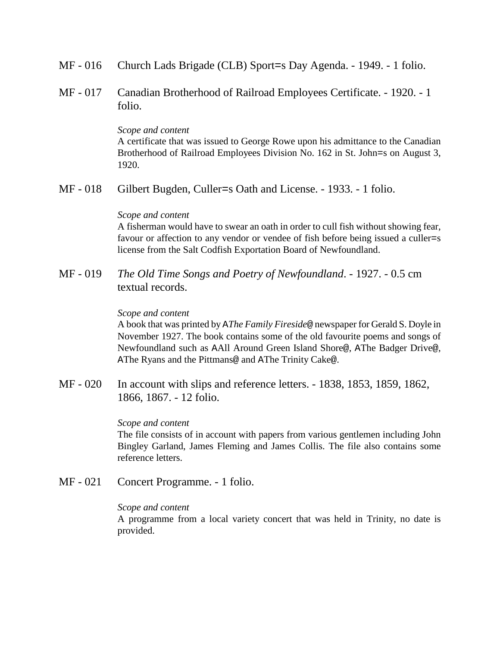- MF 016 Church Lads Brigade (CLB) Sport=s Day Agenda. 1949. 1 folio.
- MF 017 Canadian Brotherhood of Railroad Employees Certificate. 1920. 1 folio.

*Scope and content*

A certificate that was issued to George Rowe upon his admittance to the Canadian Brotherhood of Railroad Employees Division No. 162 in St. John=s on August 3, 1920.

MF - 018 Gilbert Bugden, Culler=s Oath and License. - 1933. - 1 folio.

#### *Scope and content*

A fisherman would have to swear an oath in order to cull fish without showing fear, favour or affection to any vendor or vendee of fish before being issued a culler=s license from the Salt Codfish Exportation Board of Newfoundland.

MF - 019 *The Old Time Songs and Poetry of Newfoundland*. - 1927. - 0.5 cm textual records.

#### *Scope and content*

A book that was printed by A*The Family Fireside*@ newspaper for Gerald S. Doyle in November 1927. The book contains some of the old favourite poems and songs of Newfoundland such as AAll Around Green Island Shore@, AThe Badger Drive@, AThe Ryans and the Pittmans@ and AThe Trinity Cake@.

MF - 020 In account with slips and reference letters. - 1838, 1853, 1859, 1862, 1866, 1867. - 12 folio.

#### *Scope and content*

The file consists of in account with papers from various gentlemen including John Bingley Garland, James Fleming and James Collis. The file also contains some reference letters.

MF - 021 Concert Programme. - 1 folio.

### *Scope and content*

A programme from a local variety concert that was held in Trinity, no date is provided.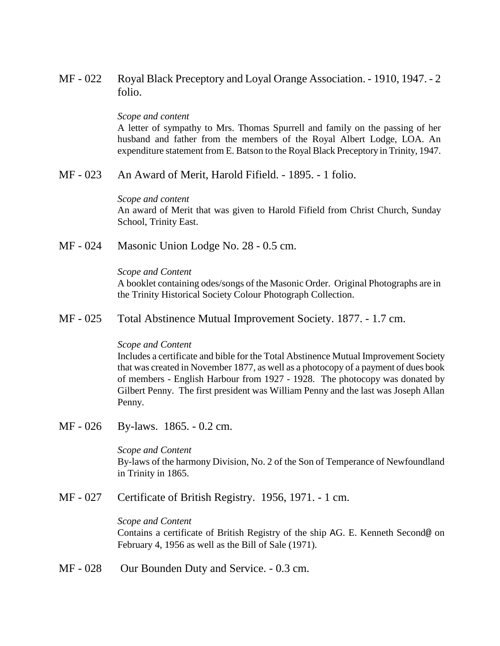MF - 022 Royal Black Preceptory and Loyal Orange Association. - 1910, 1947. - 2 folio.

### *Scope and content*

A letter of sympathy to Mrs. Thomas Spurrell and family on the passing of her husband and father from the members of the Royal Albert Lodge, LOA. An expenditure statement from E. Batson to the Royal Black Preceptory in Trinity, 1947.

MF - 023 An Award of Merit, Harold Fifield. - 1895. - 1 folio.

### *Scope and content*

An award of Merit that was given to Harold Fifield from Christ Church, Sunday School, Trinity East.

MF - 024 Masonic Union Lodge No. 28 - 0.5 cm.

### *Scope and Content*

A booklet containing odes/songs of the Masonic Order. Original Photographs are in the Trinity Historical Society Colour Photograph Collection.

MF - 025 Total Abstinence Mutual Improvement Society. 1877. - 1.7 cm.

## *Scope and Content*

Includes a certificate and bible for the Total Abstinence Mutual Improvement Society that was created in November 1877, as well as a photocopy of a payment of dues book of members - English Harbour from 1927 - 1928. The photocopy was donated by Gilbert Penny. The first president was William Penny and the last was Joseph Allan Penny.

MF - 026 By-laws. 1865. - 0.2 cm.

*Scope and Content* By-laws of the harmony Division, No. 2 of the Son of Temperance of Newfoundland in Trinity in 1865.

MF - 027 Certificate of British Registry. 1956, 1971. - 1 cm.

## *Scope and Content*

Contains a certificate of British Registry of the ship AG. E. Kenneth Second@ on February 4, 1956 as well as the Bill of Sale (1971).

MF - 028 Our Bounden Duty and Service. - 0.3 cm.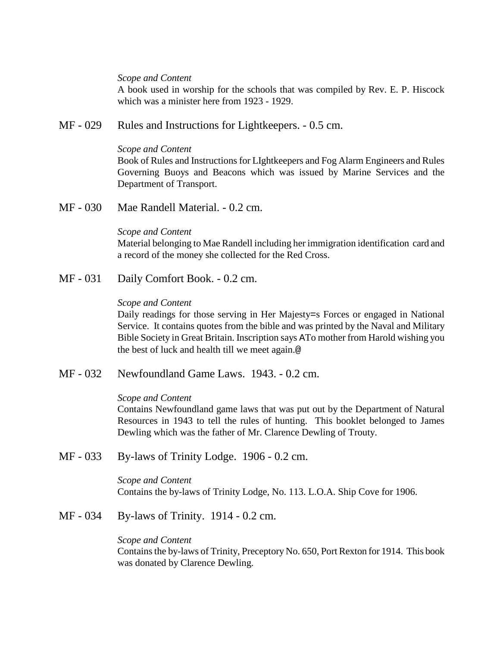### *Scope and Content*

A book used in worship for the schools that was compiled by Rev. E. P. Hiscock which was a minister here from 1923 - 1929.

MF - 029 Rules and Instructions for Lightkeepers. - 0.5 cm.

### *Scope and Content*

Book of Rules and Instructions for LIghtkeepers and Fog Alarm Engineers and Rules Governing Buoys and Beacons which was issued by Marine Services and the Department of Transport.

MF - 030 Mae Randell Material. - 0.2 cm.

## *Scope and Content*

Material belonging to Mae Randell including her immigration identification card and a record of the money she collected for the Red Cross.

MF - 031 Daily Comfort Book. - 0.2 cm.

# *Scope and Content*

Daily readings for those serving in Her Majesty=s Forces or engaged in National Service. It contains quotes from the bible and was printed by the Naval and Military Bible Society in Great Britain. Inscription says ATo mother from Harold wishing you the best of luck and health till we meet again.@

MF - 032 Newfoundland Game Laws. 1943. - 0.2 cm.

## *Scope and Content*

Contains Newfoundland game laws that was put out by the Department of Natural Resources in 1943 to tell the rules of hunting. This booklet belonged to James Dewling which was the father of Mr. Clarence Dewling of Trouty.

MF - 033 By-laws of Trinity Lodge. 1906 - 0.2 cm.

*Scope and Content* Contains the by-laws of Trinity Lodge, No. 113. L.O.A. Ship Cove for 1906.

MF - 034 By-laws of Trinity. 1914 - 0.2 cm.

## *Scope and Content*

Contains the by-laws of Trinity, Preceptory No. 650, Port Rexton for 1914. This book was donated by Clarence Dewling.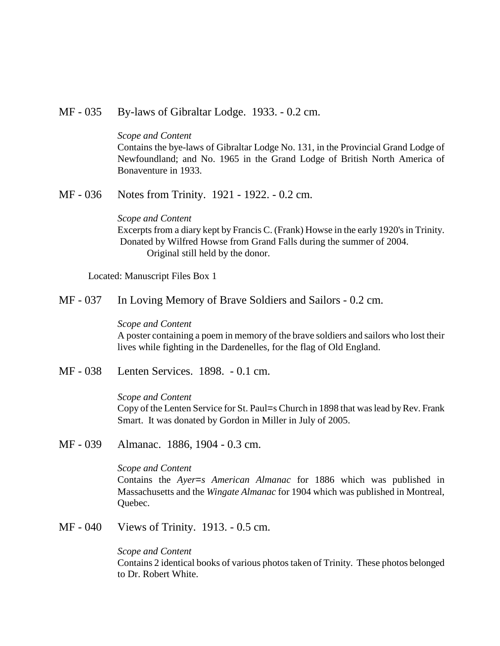MF - 035 By-laws of Gibraltar Lodge. 1933. - 0.2 cm.

#### *Scope and Content*

Contains the bye-laws of Gibraltar Lodge No. 131, in the Provincial Grand Lodge of Newfoundland; and No. 1965 in the Grand Lodge of British North America of Bonaventure in 1933.

MF - 036 Notes from Trinity. 1921 - 1922. - 0.2 cm.

# *Scope and Content*

Excerpts from a diary kept by Francis C. (Frank) Howse in the early 1920's in Trinity. Donated by Wilfred Howse from Grand Falls during the summer of 2004. Original still held by the donor.

Located: Manuscript Files Box 1

MF - 037 In Loving Memory of Brave Soldiers and Sailors - 0.2 cm.

### *Scope and Content*

A poster containing a poem in memory of the brave soldiers and sailors who lost their lives while fighting in the Dardenelles, for the flag of Old England.

MF - 038 Lenten Services. 1898. - 0.1 cm.

#### *Scope and Content*

Copy of the Lenten Service for St. Paul=s Church in 1898 that was lead by Rev. Frank Smart. It was donated by Gordon in Miller in July of 2005.

MF - 039 Almanac. 1886, 1904 - 0.3 cm.

#### *Scope and Content*

Contains the *Ayer=s American Almanac* for 1886 which was published in Massachusetts and the *Wingate Almanac* for 1904 which was published in Montreal, Quebec.

MF - 040 Views of Trinity. 1913. - 0.5 cm.

#### *Scope and Content*

Contains 2 identical books of various photos taken of Trinity. These photos belonged to Dr. Robert White.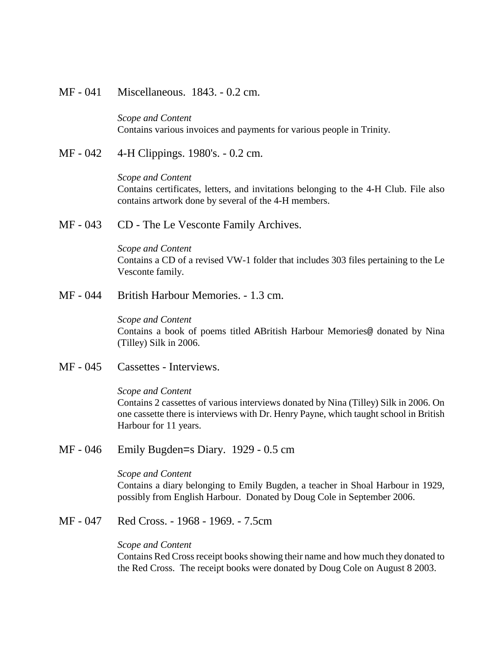MF - 041 Miscellaneous. 1843. - 0.2 cm.

*Scope and Content* Contains various invoices and payments for various people in Trinity.

MF - 042 4-H Clippings. 1980's. - 0.2 cm.

*Scope and Content* Contains certificates, letters, and invitations belonging to the 4-H Club. File also contains artwork done by several of the 4-H members.

MF - 043 CD - The Le Vesconte Family Archives.

*Scope and Content* Contains a CD of a revised VW-1 folder that includes 303 files pertaining to the Le Vesconte family.

MF - 044 British Harbour Memories. - 1.3 cm.

*Scope and Content* Contains a book of poems titled ABritish Harbour Memories@ donated by Nina (Tilley) Silk in 2006.

MF - 045 Cassettes - Interviews.

# *Scope and Content* Contains 2 cassettes of various interviews donated by Nina (Tilley) Silk in 2006. On one cassette there is interviews with Dr. Henry Payne, which taught school in British Harbour for 11 years.

MF - 046 Emily Bugden=s Diary. 1929 - 0.5 cm

#### *Scope and Content*

Contains a diary belonging to Emily Bugden, a teacher in Shoal Harbour in 1929, possibly from English Harbour. Donated by Doug Cole in September 2006.

MF - 047 Red Cross. - 1968 - 1969. - 7.5cm

#### *Scope and Content*

Contains Red Cross receipt books showing their name and how much they donated to the Red Cross. The receipt books were donated by Doug Cole on August 8 2003.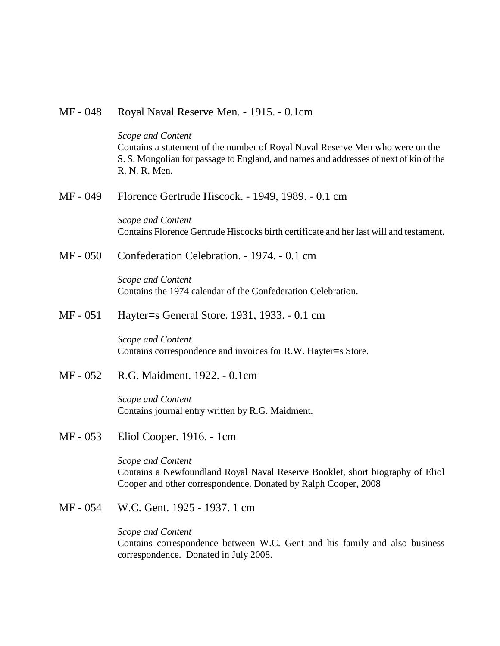# MF - 048 Royal Naval Reserve Men. - 1915. - 0.1cm

*Scope and Content* Contains a statement of the number of Royal Naval Reserve Men who were on the S. S. Mongolian for passage to England, and names and addresses of next of kin of the R. N. R. Men.

MF - 049 Florence Gertrude Hiscock. - 1949, 1989. - 0.1 cm

*Scope and Content* Contains Florence Gertrude Hiscocks birth certificate and her last will and testament.

MF - 050 Confederation Celebration. - 1974. - 0.1 cm

*Scope and Content* Contains the 1974 calendar of the Confederation Celebration.

MF - 051 Hayter=s General Store. 1931, 1933. - 0.1 cm

*Scope and Content* Contains correspondence and invoices for R.W. Hayter=s Store.

MF - 052 R.G. Maidment. 1922. - 0.1cm

*Scope and Content* Contains journal entry written by R.G. Maidment.

MF - 053 Eliol Cooper. 1916. - 1cm

*Scope and Content* Contains a Newfoundland Royal Naval Reserve Booklet, short biography of Eliol Cooper and other correspondence. Donated by Ralph Cooper, 2008

MF - 054 W.C. Gent. 1925 - 1937. 1 cm

*Scope and Content*

Contains correspondence between W.C. Gent and his family and also business correspondence. Donated in July 2008.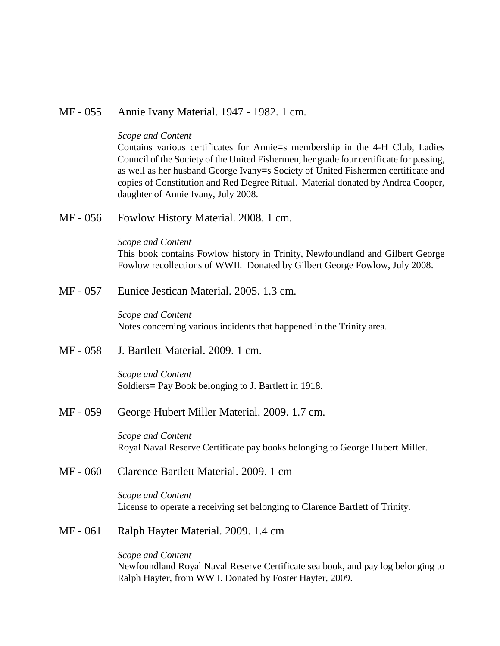# MF - 055 Annie Ivany Material. 1947 - 1982. 1 cm.

#### *Scope and Content*

Contains various certificates for Annie=s membership in the 4-H Club, Ladies Council of the Society of the United Fishermen, her grade four certificate for passing, as well as her husband George Ivany=s Society of United Fishermen certificate and copies of Constitution and Red Degree Ritual. Material donated by Andrea Cooper, daughter of Annie Ivany, July 2008.

MF - 056 Fowlow History Material. 2008. 1 cm.

*Scope and Content* This book contains Fowlow history in Trinity, Newfoundland and Gilbert George Fowlow recollections of WWII. Donated by Gilbert George Fowlow, July 2008.

MF - 057 Eunice Jestican Material. 2005. 1.3 cm.

*Scope and Content* Notes concerning various incidents that happened in the Trinity area.

MF - 058 J. Bartlett Material. 2009. 1 cm.

*Scope and Content* Soldiers= Pay Book belonging to J. Bartlett in 1918.

MF - 059 George Hubert Miller Material. 2009. 1.7 cm.

*Scope and Content* Royal Naval Reserve Certificate pay books belonging to George Hubert Miller.

MF - 060 Clarence Bartlett Material. 2009. 1 cm

*Scope and Content* License to operate a receiving set belonging to Clarence Bartlett of Trinity.

MF - 061 Ralph Hayter Material. 2009. 1.4 cm

*Scope and Content* Newfoundland Royal Naval Reserve Certificate sea book, and pay log belonging to Ralph Hayter, from WW I. Donated by Foster Hayter, 2009.